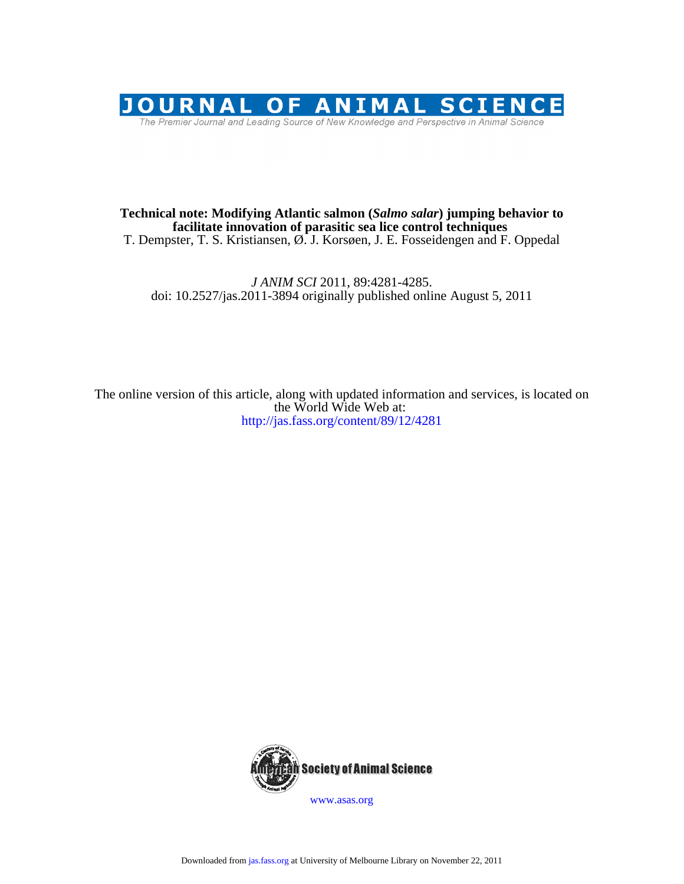

# T. Dempster, T. S. Kristiansen, Ø. J. Korsøen, J. E. Fosseidengen and F. Oppedal **facilitate innovation of parasitic sea lice control techniques Technical note: Modifying Atlantic salmon (***Salmo salar***) jumping behavior to**

doi: 10.2527/jas.2011-3894 originally published online August 5, 2011 *J ANIM SCI* 2011, 89:4281-4285.

http://jas.fass.org/content/89/12/4281 the World Wide Web at: The online version of this article, along with updated information and services, is located on



www.asas.org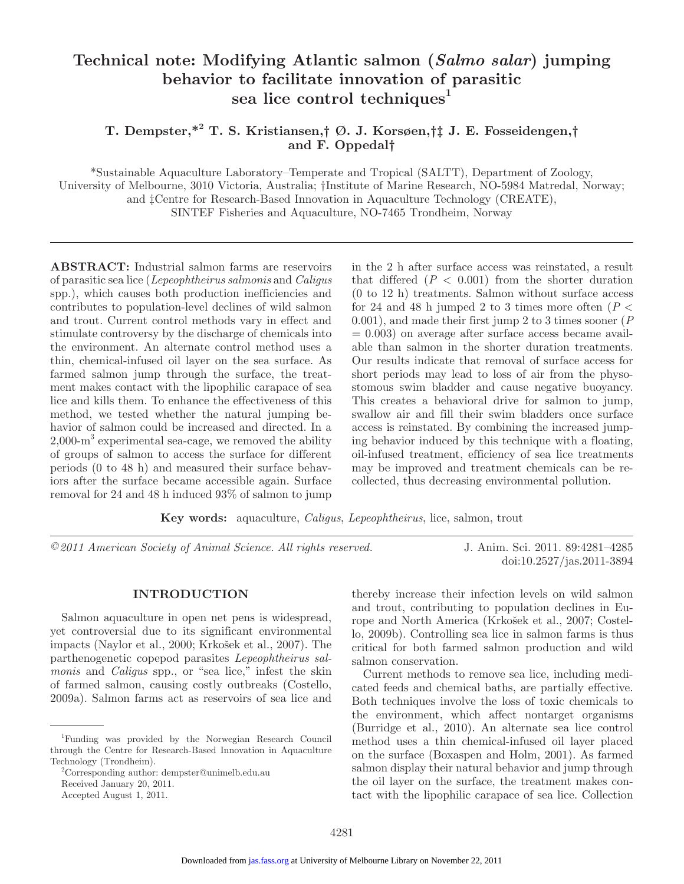# **Technical note: Modifying Atlantic salmon (***Salmo salar***) jumping behavior to facilitate innovation of parasitic sea lice control techniques<sup>1</sup>**

# **T. Dempster,\*2 T. S. Kristiansen,† Ø. J. Korsøen,†‡ J. E. Fosseidengen,† and F. Oppedal†**

\*Sustainable Aquaculture Laboratory–Temperate and Tropical (SALTT), Department of Zoology, University of Melbourne, 3010 Victoria, Australia; †Institute of Marine Research, NO-5984 Matredal, Norway; and ‡Centre for Research-Based Innovation in Aquaculture Technology (CREATE), SINTEF Fisheries and Aquaculture, NO-7465 Trondheim, Norway

**ABSTRACT:** Industrial salmon farms are reservoirs of parasitic sea lice (*Lepeophtheirus salmonis* and *Caligus* spp.), which causes both production inefficiencies and contributes to population-level declines of wild salmon and trout. Current control methods vary in effect and stimulate controversy by the discharge of chemicals into the environment. An alternate control method uses a thin, chemical-infused oil layer on the sea surface. As farmed salmon jump through the surface, the treatment makes contact with the lipophilic carapace of sea lice and kills them. To enhance the effectiveness of this method, we tested whether the natural jumping behavior of salmon could be increased and directed. In a  $2,000\text{-m}^3$  experimental sea-cage, we removed the ability of groups of salmon to access the surface for different periods (0 to 48 h) and measured their surface behaviors after the surface became accessible again. Surface removal for 24 and 48 h induced 93% of salmon to jump

in the 2 h after surface access was reinstated, a result that differed  $(P < 0.001)$  from the shorter duration (0 to 12 h) treatments. Salmon without surface access for 24 and 48 h jumped 2 to 3 times more often  $(P <$ 0.001), and made their first jump 2 to 3 times sooner (*P*  $= 0.003$  on average after surface access became available than salmon in the shorter duration treatments. Our results indicate that removal of surface access for short periods may lead to loss of air from the physostomous swim bladder and cause negative buoyancy. This creates a behavioral drive for salmon to jump, swallow air and fill their swim bladders once surface access is reinstated. By combining the increased jumping behavior induced by this technique with a floating, oil-infused treatment, efficiency of sea lice treatments may be improved and treatment chemicals can be recollected, thus decreasing environmental pollution.

**Key words:** aquaculture, *Caligus*, *Lepeophtheirus*, lice, salmon, trout

*©2011 American Society of Animal Science. All rights reserved.* J. Anim. Sci. 2011. 89:4281–4285

doi:10.2527/jas.2011-3894

#### **INTRODUCTION**

Salmon aquaculture in open net pens is widespread, yet controversial due to its significant environmental impacts (Naylor et al., 2000; Krkošek et al., 2007). The parthenogenetic copepod parasites *Lepeophtheirus salmonis* and *Caligus* spp., or "sea lice," infest the skin of farmed salmon, causing costly outbreaks (Costello, 2009a). Salmon farms act as reservoirs of sea lice and thereby increase their infection levels on wild salmon and trout, contributing to population declines in Europe and North America (Krkošek et al., 2007; Costello, 2009b). Controlling sea lice in salmon farms is thus critical for both farmed salmon production and wild salmon conservation.

Current methods to remove sea lice, including medicated feeds and chemical baths, are partially effective. Both techniques involve the loss of toxic chemicals to the environment, which affect nontarget organisms (Burridge et al., 2010). An alternate sea lice control method uses a thin chemical-infused oil layer placed on the surface (Boxaspen and Holm, 2001). As farmed salmon display their natural behavior and jump through the oil layer on the surface, the treatment makes contact with the lipophilic carapace of sea lice. Collection

<sup>1</sup> Funding was provided by the Norwegian Research Council through the Centre for Research-Based Innovation in Aquaculture Technology (Trondheim).

<sup>2</sup> Corresponding author: dempster@unimelb.edu.au Received January 20, 2011.

Accepted August 1, 2011.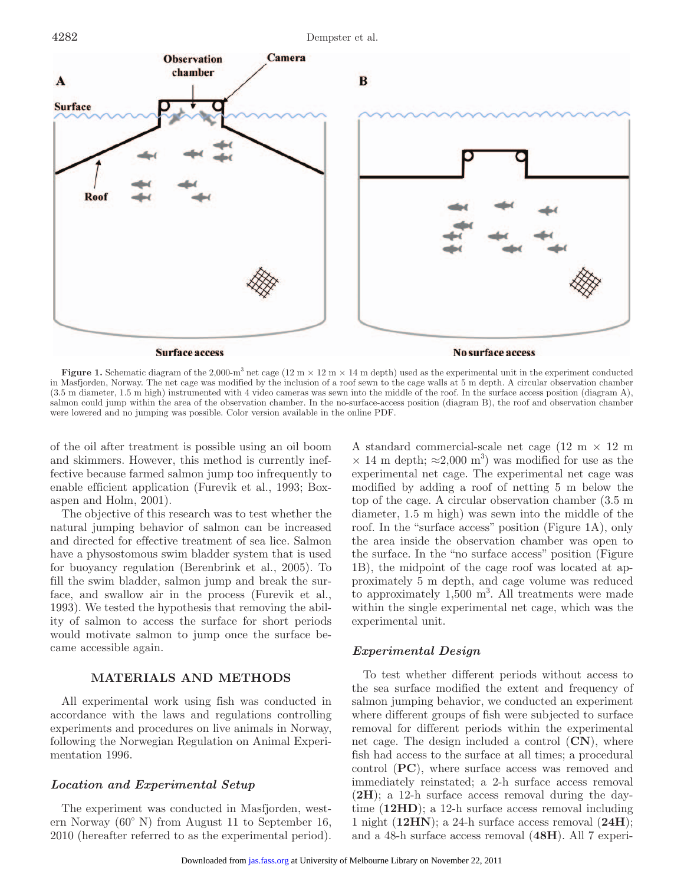

**Figure 1.** Schematic diagram of the 2,000-m<sup>3</sup> net cage (12 m  $\times$  12 m  $\times$  14 m depth) used as the experimental unit in the experiment conducted in Masfjorden, Norway. The net cage was modified by the inclusion of a roof sewn to the cage walls at 5 m depth. A circular observation chamber (3.5 m diameter, 1.5 m high) instrumented with 4 video cameras was sewn into the middle of the roof. In the surface access position (diagram A), salmon could jump within the area of the observation chamber. In the no-surface-access position (diagram B), the roof and observation chamber were lowered and no jumping was possible. Color version available in the online PDF.

of the oil after treatment is possible using an oil boom and skimmers. However, this method is currently ineffective because farmed salmon jump too infrequently to enable efficient application (Furevik et al., 1993; Boxaspen and Holm, 2001).

The objective of this research was to test whether the natural jumping behavior of salmon can be increased and directed for effective treatment of sea lice. Salmon have a physostomous swim bladder system that is used for buoyancy regulation (Berenbrink et al., 2005). To fill the swim bladder, salmon jump and break the surface, and swallow air in the process (Furevik et al., 1993). We tested the hypothesis that removing the ability of salmon to access the surface for short periods would motivate salmon to jump once the surface became accessible again.

## **MATERIALS AND METHODS**

All experimental work using fish was conducted in accordance with the laws and regulations controlling experiments and procedures on live animals in Norway, following the Norwegian Regulation on Animal Experimentation 1996.

#### *Location and Experimental Setup*

The experiment was conducted in Masfjorden, western Norway (60° N) from August 11 to September 16, 2010 (hereafter referred to as the experimental period). A standard commercial-scale net cage  $(12 \text{ m} \times 12 \text{ m})$  $\times$  14 m depth;  $\approx$ 2,000 m<sup>3</sup>) was modified for use as the experimental net cage. The experimental net cage was modified by adding a roof of netting 5 m below the top of the cage. A circular observation chamber (3.5 m diameter, 1.5 m high) was sewn into the middle of the roof. In the "surface access" position (Figure 1A), only the area inside the observation chamber was open to the surface. In the "no surface access" position (Figure 1B), the midpoint of the cage roof was located at approximately 5 m depth, and cage volume was reduced to approximately  $1,500 \text{ m}^3$ . All treatments were made within the single experimental net cage, which was the experimental unit.

#### *Experimental Design*

To test whether different periods without access to the sea surface modified the extent and frequency of salmon jumping behavior, we conducted an experiment where different groups of fish were subjected to surface removal for different periods within the experimental net cage. The design included a control (**CN**), where fish had access to the surface at all times; a procedural control (**PC**), where surface access was removed and immediately reinstated; a 2-h surface access removal (**2H**); a 12-h surface access removal during the daytime (**12HD**); a 12-h surface access removal including 1 night (**12HN**); a 24-h surface access removal (**24H**); and a 48-h surface access removal (**48H**). All 7 experi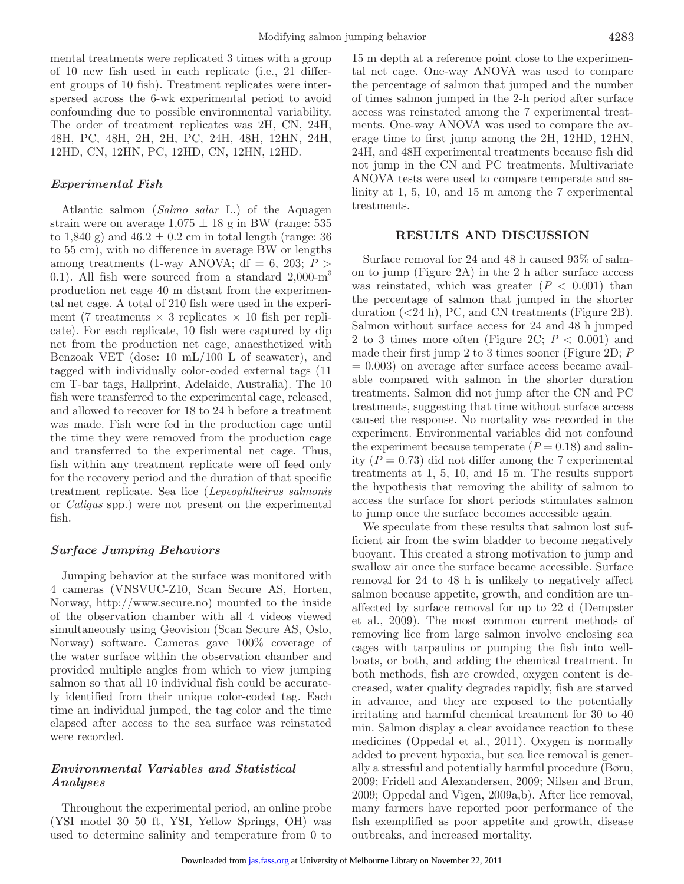mental treatments were replicated 3 times with a group of 10 new fish used in each replicate (i.e., 21 different groups of 10 fish). Treatment replicates were interspersed across the 6-wk experimental period to avoid confounding due to possible environmental variability. The order of treatment replicates was 2H, CN, 24H, 48H, PC, 48H, 2H, 2H, PC, 24H, 48H, 12HN, 24H, 12HD, CN, 12HN, PC, 12HD, CN, 12HN, 12HD.

## *Experimental Fish*

Atlantic salmon (*Salmo salar* L.) of the Aquagen strain were on average  $1.075 \pm 18$  g in BW (range: 535) to 1,840 g) and  $46.2 \pm 0.2$  cm in total length (range: 36 to 55 cm), with no difference in average BW or lengths among treatments (1-way ANOVA;  $df = 6$ , 203;  $P >$ 0.1). All fish were sourced from a standard  $2,000\text{-m}^3$ production net cage 40 m distant from the experimental net cage. A total of 210 fish were used in the experiment (7 treatments  $\times$  3 replicates  $\times$  10 fish per replicate). For each replicate, 10 fish were captured by dip net from the production net cage, anaesthetized with Benzoak VET (dose: 10 mL/100 L of seawater), and tagged with individually color-coded external tags (11 cm T-bar tags, Hallprint, Adelaide, Australia). The 10 fish were transferred to the experimental cage, released, and allowed to recover for 18 to 24 h before a treatment was made. Fish were fed in the production cage until the time they were removed from the production cage and transferred to the experimental net cage. Thus, fish within any treatment replicate were off feed only for the recovery period and the duration of that specific treatment replicate. Sea lice (*Lepeophtheirus salmonis* or *Caligus* spp.) were not present on the experimental fish.

#### *Surface Jumping Behaviors*

Jumping behavior at the surface was monitored with 4 cameras (VNSVUC-Z10, Scan Secure AS, Horten, Norway, http://www.secure.no) mounted to the inside of the observation chamber with all 4 videos viewed simultaneously using Geovision (Scan Secure AS, Oslo, Norway) software. Cameras gave 100% coverage of the water surface within the observation chamber and provided multiple angles from which to view jumping salmon so that all 10 individual fish could be accurately identified from their unique color-coded tag. Each time an individual jumped, the tag color and the time elapsed after access to the sea surface was reinstated were recorded.

## *Environmental Variables and Statistical Analyses*

Throughout the experimental period, an online probe (YSI model 30–50 ft, YSI, Yellow Springs, OH) was used to determine salinity and temperature from 0 to 15 m depth at a reference point close to the experimental net cage. One-way ANOVA was used to compare the percentage of salmon that jumped and the number of times salmon jumped in the 2-h period after surface access was reinstated among the 7 experimental treatments. One-way ANOVA was used to compare the average time to first jump among the 2H, 12HD, 12HN, 24H, and 48H experimental treatments because fish did not jump in the CN and PC treatments. Multivariate ANOVA tests were used to compare temperate and salinity at 1, 5, 10, and 15 m among the 7 experimental treatments.

#### **RESULTS AND DISCUSSION**

Surface removal for 24 and 48 h caused 93% of salmon to jump (Figure 2A) in the 2 h after surface access was reinstated, which was greater  $(P < 0.001)$  than the percentage of salmon that jumped in the shorter duration (<24 h), PC, and CN treatments (Figure 2B). Salmon without surface access for 24 and 48 h jumped 2 to 3 times more often (Figure 2C;  $P < 0.001$ ) and made their first jump 2 to 3 times sooner (Figure 2D; *P*  $= 0.003$  on average after surface access became available compared with salmon in the shorter duration treatments. Salmon did not jump after the CN and PC treatments, suggesting that time without surface access caused the response. No mortality was recorded in the experiment. Environmental variables did not confound the experiment because temperate  $(P = 0.18)$  and salinity  $(P = 0.73)$  did not differ among the 7 experimental treatments at 1, 5, 10, and 15 m. The results support the hypothesis that removing the ability of salmon to access the surface for short periods stimulates salmon to jump once the surface becomes accessible again.

We speculate from these results that salmon lost sufficient air from the swim bladder to become negatively buoyant. This created a strong motivation to jump and swallow air once the surface became accessible. Surface removal for 24 to 48 h is unlikely to negatively affect salmon because appetite, growth, and condition are unaffected by surface removal for up to 22 d (Dempster et al., 2009). The most common current methods of removing lice from large salmon involve enclosing sea cages with tarpaulins or pumping the fish into wellboats, or both, and adding the chemical treatment. In both methods, fish are crowded, oxygen content is decreased, water quality degrades rapidly, fish are starved in advance, and they are exposed to the potentially irritating and harmful chemical treatment for 30 to 40 min. Salmon display a clear avoidance reaction to these medicines (Oppedal et al., 2011). Oxygen is normally added to prevent hypoxia, but sea lice removal is generally a stressful and potentially harmful procedure (Børu, 2009; Fridell and Alexandersen, 2009; Nilsen and Brun, 2009; Oppedal and Vigen, 2009a,b). After lice removal, many farmers have reported poor performance of the fish exemplified as poor appetite and growth, disease outbreaks, and increased mortality.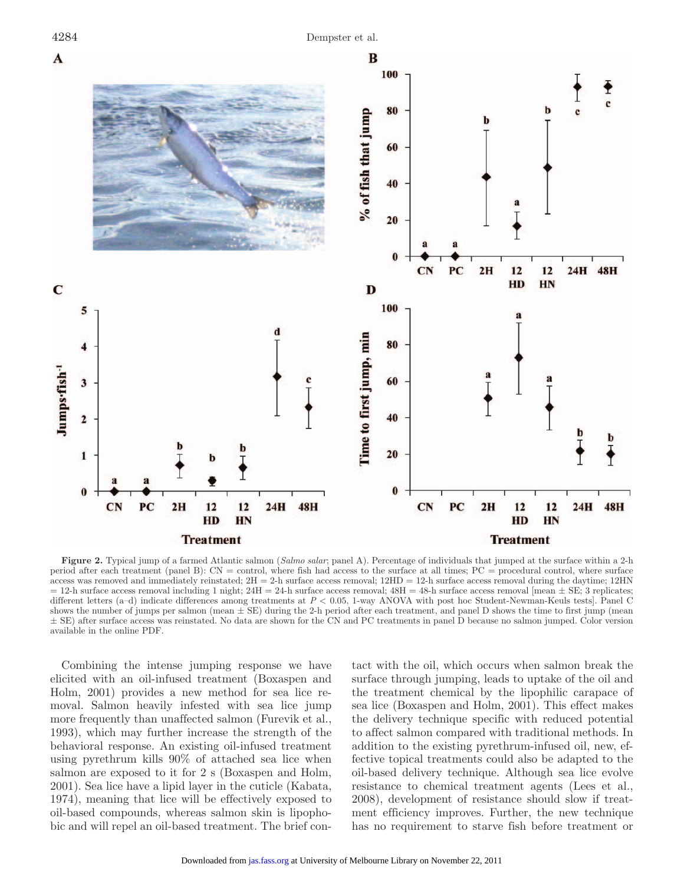

**Figure 2.** Typical jump of a farmed Atlantic salmon (*Salmo salar*; panel A). Percentage of individuals that jumped at the surface within a 2-h period after each treatment (panel B): CN = control, where fish had access to the surface at all times; PC = procedural control, where surface access was removed and immediately reinstated;  $2H = 2-h$  surface access removal;  $12HD = 12-h$  surface access removal during the daytime;  $12HN$  $= 12$ -h surface access removal including 1 night;  $24H = 24$ -h surface access removal;  $48H = 48$ -h surface access removal [mean  $\pm$  SE; 3 replicates; different letters (a–d) indicate differences among treatments at *P* < 0.05, 1-way ANOVA with post hoc Student-Newman-Keuls tests]. Panel C shows the number of jumps per salmon (mean  $\pm$  SE) during the 2-h period after each treatment, and panel D shows the time to first jump (mean ± SE) after surface access was reinstated. No data are shown for the CN and PC treatments in panel D because no salmon jumped. Color version available in the online PDF.

Combining the intense jumping response we have elicited with an oil-infused treatment (Boxaspen and Holm, 2001) provides a new method for sea lice removal. Salmon heavily infested with sea lice jump more frequently than unaffected salmon (Furevik et al., 1993), which may further increase the strength of the behavioral response. An existing oil-infused treatment using pyrethrum kills 90% of attached sea lice when salmon are exposed to it for 2 s (Boxaspen and Holm, 2001). Sea lice have a lipid layer in the cuticle (Kabata, 1974), meaning that lice will be effectively exposed to oil-based compounds, whereas salmon skin is lipophobic and will repel an oil-based treatment. The brief contact with the oil, which occurs when salmon break the surface through jumping, leads to uptake of the oil and the treatment chemical by the lipophilic carapace of sea lice (Boxaspen and Holm, 2001). This effect makes the delivery technique specific with reduced potential to affect salmon compared with traditional methods. In addition to the existing pyrethrum-infused oil, new, effective topical treatments could also be adapted to the oil-based delivery technique. Although sea lice evolve resistance to chemical treatment agents (Lees et al., 2008), development of resistance should slow if treatment efficiency improves. Further, the new technique has no requirement to starve fish before treatment or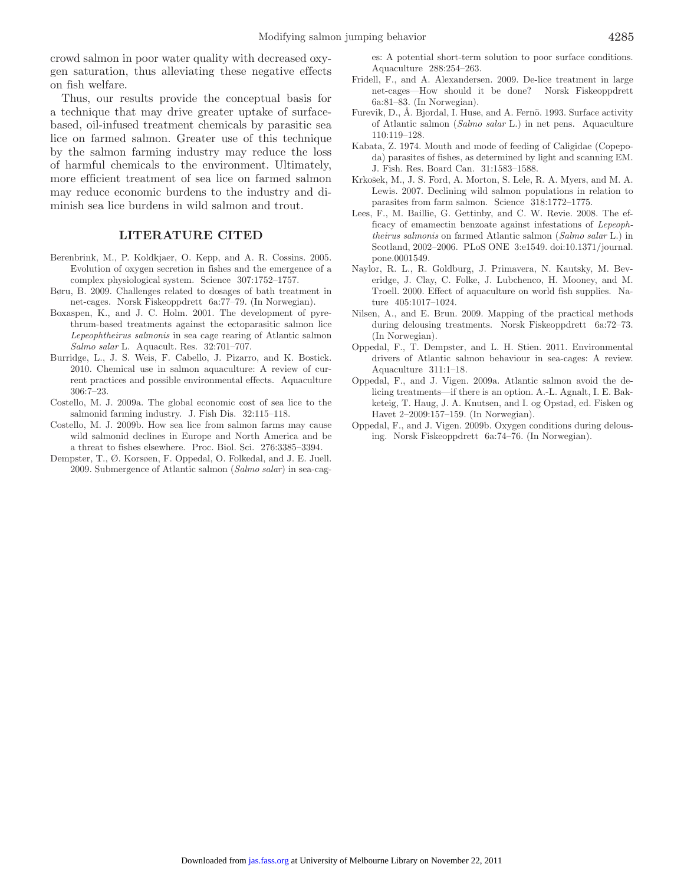crowd salmon in poor water quality with decreased oxygen saturation, thus alleviating these negative effects on fish welfare.

Thus, our results provide the conceptual basis for a technique that may drive greater uptake of surfacebased, oil-infused treatment chemicals by parasitic sea lice on farmed salmon. Greater use of this technique by the salmon farming industry may reduce the loss of harmful chemicals to the environment. Ultimately, more efficient treatment of sea lice on farmed salmon may reduce economic burdens to the industry and diminish sea lice burdens in wild salmon and trout.

#### **LITERATURE CITED**

- Berenbrink, M., P. Koldkjaer, O. Kepp, and A. R. Cossins. 2005. Evolution of oxygen secretion in fishes and the emergence of a complex physiological system. Science 307:1752–1757.
- Børu, B. 2009. Challenges related to dosages of bath treatment in net-cages. Norsk Fiskeoppdrett 6a:77–79. (In Norwegian).
- Boxaspen, K., and J. C. Holm. 2001. The development of pyrethrum-based treatments against the ectoparasitic salmon lice *Lepeophtheirus salmonis* in sea cage rearing of Atlantic salmon *Salmo salar* L. Aquacult. Res. 32:701–707.
- Burridge, L., J. S. Weis, F. Cabello, J. Pizarro, and K. Bostick. 2010. Chemical use in salmon aquaculture: A review of current practices and possible environmental effects. Aquaculture 306:7–23.
- Costello, M. J. 2009a. The global economic cost of sea lice to the salmonid farming industry. J. Fish Dis. 32:115–118.
- Costello, M. J. 2009b. How sea lice from salmon farms may cause wild salmonid declines in Europe and North America and be a threat to fishes elsewhere. Proc. Biol. Sci. 276:3385–3394.
- Dempster, T., Ø. Korsøen, F. Oppedal, O. Folkedal, and J. E. Juell. 2009. Submergence of Atlantic salmon (*Salmo salar*) in sea-cag-

es: A potential short-term solution to poor surface conditions. Aquaculture 288:254–263.

- Fridell, F., and A. Alexandersen. 2009. De-lice treatment in large net-cages—How should it be done? Norsk Fiskeoppdrett 6a:81–83. (In Norwegian).
- Furevik, D., Å. Bjordal, I. Huse, and A. Fernö. 1993. Surface activity of Atlantic salmon (*Salmo salar* L.) in net pens. Aquaculture 110:119–128.
- Kabata, Z. 1974. Mouth and mode of feeding of Caligidae (Copepoda) parasites of fishes, as determined by light and scanning EM. J. Fish. Res. Board Can. 31:1583–1588.
- Krkošek, M., J. S. Ford, A. Morton, S. Lele, R. A. Myers, and M. A. Lewis. 2007. Declining wild salmon populations in relation to parasites from farm salmon. Science 318:1772–1775.
- Lees, F., M. Baillie, G. Gettinby, and C. W. Revie. 2008. The efficacy of emamectin benzoate against infestations of *Lepeophtheirus salmonis* on farmed Atlantic salmon (*Salmo salar* L.) in Scotland, 2002–2006. PLoS ONE 3:e1549. doi:10.1371/journal. pone.0001549.
- Naylor, R. L., R. Goldburg, J. Primavera, N. Kautsky, M. Beveridge, J. Clay, C. Folke, J. Lubchenco, H. Mooney, and M. Troell. 2000. Effect of aquaculture on world fish supplies. Nature 405:1017–1024.
- Nilsen, A., and E. Brun. 2009. Mapping of the practical methods during delousing treatments. Norsk Fiskeoppdrett 6a:72–73. (In Norwegian).
- Oppedal, F., T. Dempster, and L. H. Stien. 2011. Environmental drivers of Atlantic salmon behaviour in sea-cages: A review. Aquaculture 311:1–18.
- Oppedal, F., and J. Vigen. 2009a. Atlantic salmon avoid the delicing treatments—if there is an option. A.-L. Agnalt, I. E. Bakketeig, T. Haug, J. A. Knutsen, and I. og Opstad, ed. Fisken og Havet 2–2009:157–159. (In Norwegian).
- Oppedal, F., and J. Vigen. 2009b. Oxygen conditions during delousing. Norsk Fiskeoppdrett 6a:74–76. (In Norwegian).